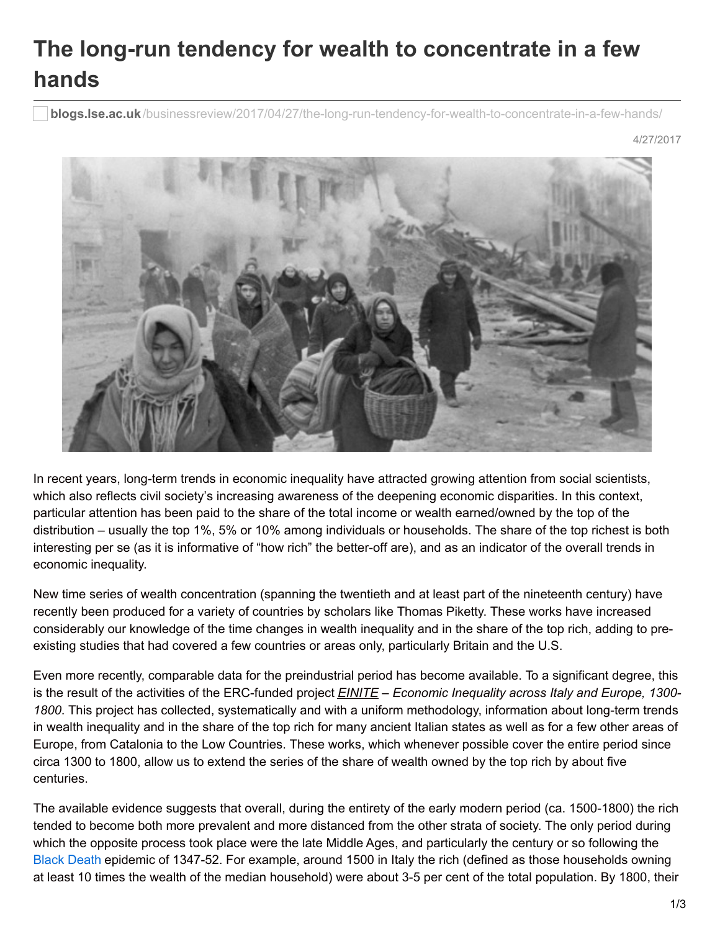## **The long-run tendency for wealth to concentrate in a few hands**

**blogs.lse.ac.uk**[/businessreview/2017/04/27/the-long-run-tendency-for-wealth-to-concentrate-in-a-few-hands/](http://blogs.lse.ac.uk/businessreview/2017/04/27/the-long-run-tendency-for-wealth-to-concentrate-in-a-few-hands/)

4/27/2017



In recent years, long-term trends in economic inequality have attracted growing attention from social scientists, which also reflects civil society's increasing awareness of the deepening economic disparities. In this context, particular attention has been paid to the share of the total income or wealth earned/owned by the top of the distribution – usually the top 1%, 5% or 10% among individuals or households. The share of the top richest is both interesting per se (as it is informative of "how rich" the better-off are), and as an indicator of the overall trends in economic inequality.

New time series of wealth concentration (spanning the twentieth and at least part of the nineteenth century) have recently been produced for a variety of countries by scholars like Thomas Piketty. These works have increased considerably our knowledge of the time changes in wealth inequality and in the share of the top rich, adding to preexisting studies that had covered a few countries or areas only, particularly Britain and the U.S.

Even more recently, comparable data for the preindustrial period has become available. To a significant degree, this is the result of the activities of the ERC-funded project *EINITE – Economic Inequality across Italy and Europe, 1300- 1800*. This project has collected, systematically and with a uniform methodology, information about long-term trends in wealth inequality and in the share of the top rich for many ancient Italian states as well as for a few other areas of Europe, from Catalonia to the Low Countries. These works, which whenever possible cover the entire period since circa 1300 to 1800, allow us to extend the series of the share of wealth owned by the top rich by about five centuries.

The available evidence suggests that overall, during the entirety of the early modern period (ca. 1500-1800) the rich tended to become both more prevalent and more distanced from the other strata of society. The only period during which the opposite process took place were the late Middle Ages, and particularly the century or so following the Black [Death](https://en.wikipedia.org/wiki/Black_Death) epidemic of 1347-52. For example, around 1500 in Italy the rich (defined as those households owning at least 10 times the wealth of the median household) were about 3-5 per cent of the total population. By 1800, their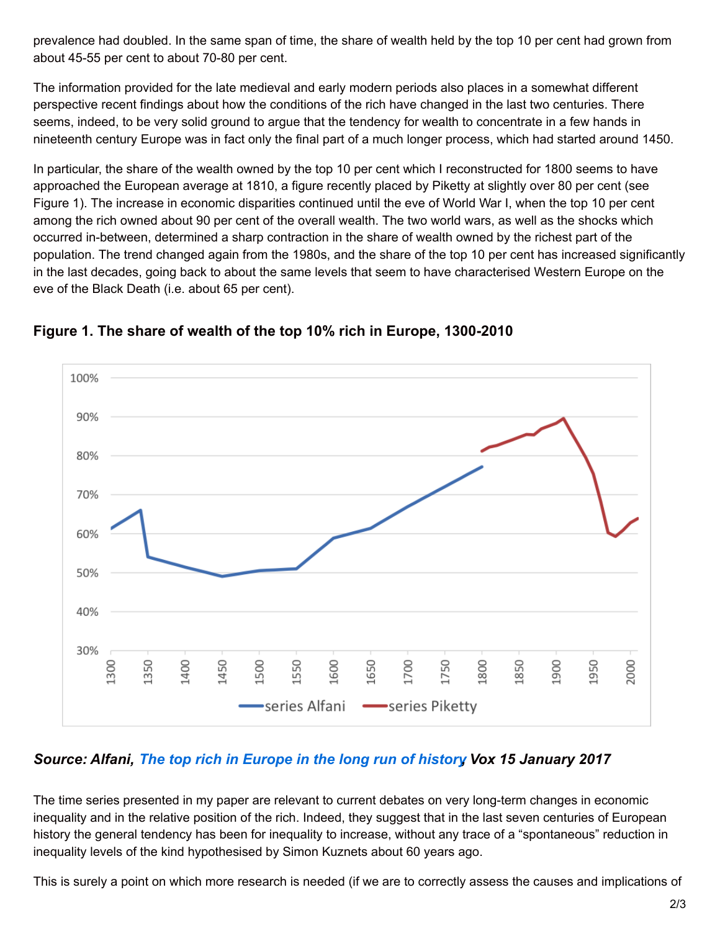prevalence had doubled. In the same span of time, the share of wealth held by the top 10 per cent had grown from about 45-55 per cent to about 70-80 per cent.

The information provided for the late medieval and early modern periods also places in a somewhat different perspective recent findings about how the conditions of the rich have changed in the last two centuries. There seems, indeed, to be very solid ground to argue that the tendency for wealth to concentrate in a few hands in nineteenth century Europe was in fact only the final part of a much longer process, which had started around 1450.

In particular, the share of the wealth owned by the top 10 per cent which I reconstructed for 1800 seems to have approached the European average at 1810, a figure recently placed by Piketty at slightly over 80 per cent (see Figure 1). The increase in economic disparities continued until the eve of World War I, when the top 10 per cent among the rich owned about 90 per cent of the overall wealth. The two world wars, as well as the shocks which occurred in-between, determined a sharp contraction in the share of wealth owned by the richest part of the population. The trend changed again from the 1980s, and the share of the top 10 per cent has increased significantly in the last decades, going back to about the same levels that seem to have characterised Western Europe on the eve of the Black Death (i.e. about 65 per cent).



## **Figure 1. The share of wealth of the top 10% rich in Europe, 1300-2010**

## *Source: Alfani, The top rich in [Europe](http://voxeu.org/article/europe-s-rich-1300) in the long run of history, Vox 15 January 2017*

The time series presented in my paper are relevant to current debates on very long-term changes in economic inequality and in the relative position of the rich. Indeed, they suggest that in the last seven centuries of European history the general tendency has been for inequality to increase, without any trace of a "spontaneous" reduction in inequality levels of the kind hypothesised by Simon Kuznets about 60 years ago.

This is surely a point on which more research is needed (if we are to correctly assess the causes and implications of